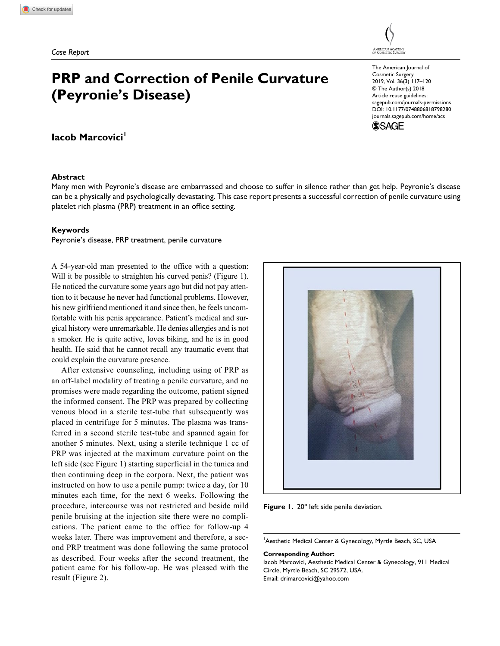# **PRP and Correction of Penile Curvature (Peyronie's Disease)**

# **Iacob Marcovici**<sup>1</sup>

## **Abstract**



https://doi.org/10.1177/0748806818798280 DOI: 10.1177/0748806818798280 The American Journal of Cosmetic Surgery 2019, Vol. 36(3) 117–120 © The Author(s) 2018 Article reuse guidelines: [sagepub.com/journals-permissions](https://us.sagepub.com/en-us/journals-permissions) [journals.sagepub.com/home/acs](https://journals.sagepub.com/home/acs)



Many men with Peyronie's disease are embarrassed and choose to suffer in silence rather than get help. Peyronie's disease can be a physically and psychologically devastating. This case report presents a successful correction of penile curvature using platelet rich plasma (PRP) treatment in an office setting.

#### **Keywords**

Peyronie's disease, PRP treatment, penile curvature

A 54-year-old man presented to the office with a question: Will it be possible to straighten his curved penis? (Figure 1). He noticed the curvature some years ago but did not pay attention to it because he never had functional problems. However, his new girlfriend mentioned it and since then, he feels uncomfortable with his penis appearance. Patient's medical and surgical history were unremarkable. He denies allergies and is not a smoker. He is quite active, loves biking, and he is in good health. He said that he cannot recall any traumatic event that could explain the curvature presence.

After extensive counseling, including using of PRP as an off-label modality of treating a penile curvature, and no promises were made regarding the outcome, patient signed the informed consent. The PRP was prepared by collecting venous blood in a sterile test-tube that subsequently was placed in centrifuge for 5 minutes. The plasma was transferred in a second sterile test-tube and spanned again for another 5 minutes. Next, using a sterile technique 1 cc of PRP was injected at the maximum curvature point on the left side (see Figure 1) starting superficial in the tunica and then continuing deep in the corpora. Next, the patient was instructed on how to use a penile pump: twice a day, for 10 minutes each time, for the next 6 weeks. Following the procedure, intercourse was not restricted and beside mild penile bruising at the injection site there were no complications. The patient came to the office for follow-up 4 weeks later. There was improvement and therefore, a second PRP treatment was done following the same protocol as described. Four weeks after the second treatment, the patient came for his follow-up. He was pleased with the result (Figure 2).



Figure 1. 20° left side penile deviation.

<sup>1</sup> Aesthetic Medical Center & Gynecology, Myrtle Beach, SC, USA

#### **Corresponding Author:**

Iacob Marcovici, Aesthetic Medical Center & Gynecology, 911 Medical Circle, Myrtle Beach, SC 29572, USA. Email: [drimarcovici@yahoo.com](mailto:drimarcovici@yahoo.com)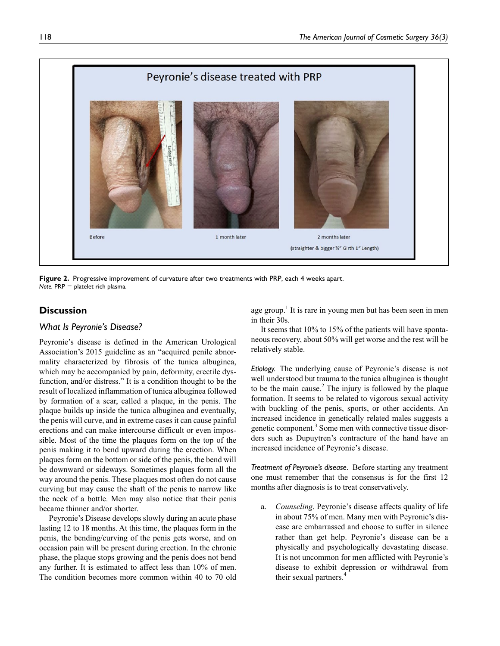

**Figure 2.** Progressive improvement of curvature after two treatments with PRP, each 4 weeks apart. *Note.* PRP = platelet rich plasma.

# **Discussion**

# *What Is Peyronie's Disease?*

Peyronie's disease is defined in the American Urological Association's 2015 guideline as an "acquired penile abnormality characterized by fibrosis of the tunica albuginea, which may be accompanied by pain, deformity, erectile dysfunction, and/or distress." It is a condition thought to be the result of localized inflammation of tunica albuginea followed by formation of a scar, called a plaque, in the penis. The plaque builds up inside the tunica albuginea and eventually, the penis will curve, and in extreme cases it can cause painful erections and can make intercourse difficult or even impossible. Most of the time the plaques form on the top of the penis making it to bend upward during the erection. When plaques form on the bottom or side of the penis, the bend will be downward or sideways. Sometimes plaques form all the way around the penis. These plaques most often do not cause curving but may cause the shaft of the penis to narrow like the neck of a bottle. Men may also notice that their penis became thinner and/or shorter.

Peyronie's Disease develops slowly during an acute phase lasting 12 to 18 months. At this time, the plaques form in the penis, the bending/curving of the penis gets worse, and on occasion pain will be present during erection. In the chronic phase, the plaque stops growing and the penis does not bend any further. It is estimated to affect less than 10% of men. The condition becomes more common within 40 to 70 old

age group.<sup>1</sup> It is rare in young men but has been seen in men in their 30s.

It seems that 10% to 15% of the patients will have spontaneous recovery, about 50% will get worse and the rest will be relatively stable.

*Etiology.* The underlying cause of Peyronie's disease is not well understood but trauma to the tunica albuginea is thought to be the main cause. $<sup>2</sup>$  The injury is followed by the plaque</sup> formation. It seems to be related to vigorous sexual activity with buckling of the penis, sports, or other accidents. An increased incidence in genetically related males suggests a genetic component.<sup>3</sup> Some men with connective tissue disorders such as Dupuytren's contracture of the hand have an increased incidence of Peyronie's disease.

*Treatment of Peyronie's disease.* Before starting any treatment one must remember that the consensus is for the first 12 months after diagnosis is to treat conservatively.

a. *Counseling*. Peyronie's disease affects quality of life in about 75% of men. Many men with Peyronie's disease are embarrassed and choose to suffer in silence rather than get help. Peyronie's disease can be a physically and psychologically devastating disease. It is not uncommon for men afflicted with Peyronie's disease to exhibit depression or withdrawal from their sexual partners.<sup>4</sup>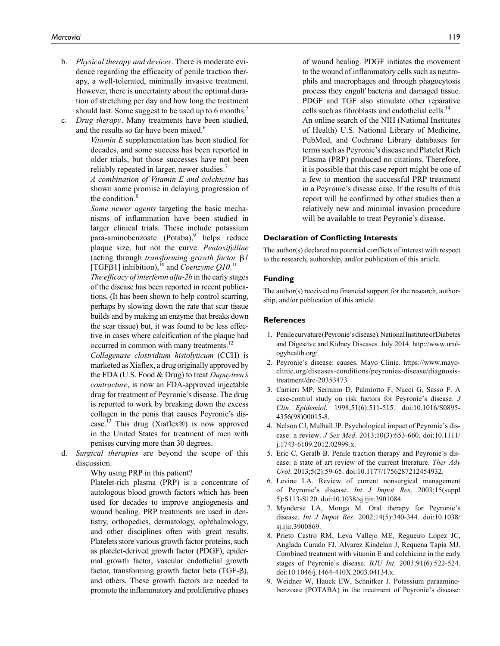- b. *Physical therapy and devices*. There is moderate evidence regarding the efficacity of penile traction therapy, a well-tolerated, minimally invasive treatment. However, there is uncertainty about the optimal duration of stretching per day and how long the treatment should last. Some suggest to be used up to 6 months.<sup>5</sup>
- c. *Drug therapy*. Many treatments have been studied, and the results so far have been mixed.<sup>6</sup>

*Vitamin E* supplementation has been studied for decades, and some success has been reported in older trials, but those successes have not been reliably repeated in larger, newer studies.<sup>7</sup>

*A combination of Vitamin E and colchicine* has shown some promise in delaying progression of the condition.<sup>8</sup>

*Some newer agents* targeting the basic mechanisms of inflammation have been studied in larger clinical trials. These include potassium  $para-aminobenzoate$  (Potaba),<sup>9</sup> helps reduce plaque size, but not the curve. *Pentoxifylline* (acting through *transforming growth factor* β*1* [TGFβ1] inhibition),<sup>10</sup> and *Coenzyme Q10*.<sup>11</sup>

*The efficacy of interferon alfa-2b* in the early stages of the disease has been reported in recent publications, (It has been shown to help control scarring, perhaps by slowing down the rate that scar tissue builds and by making an enzyme that breaks down the scar tissue) but, it was found to be less effective in cases where calcification of the plaque had occurred in common with many treatments.<sup>12</sup>

*Collagenase clostridium histolyticum* (CCH) is marketed as Xiaflex, a drug originally approved by the FDA (U.S. Food & Drug) to treat *Dupuytren's contracture*, is now an FDA-approved injectable drug for treatment of Peyronie's disease. The drug is reported to work by breaking down the excess collagen in the penis that causes Peyronie's disease.<sup>13</sup> This drug (Xiaflex®) is now approved in the United States for treatment of men with penises curving more than 30 degrees.

d. *Surgical therapies* are beyond the scope of this discussion.

Why using PRP in this patient?

Platelet-rich plasma (PRP) is a concentrate of autologous blood growth factors which has been used for decades to improve angiogenesis and wound healing. PRP treatments are used in dentistry, orthopedics, dermatology, ophthalmology, and other disciplines often with great results. Platelets store various growth factor proteins, such as platelet-derived growth factor (PDGF), epidermal growth factor, vascular endothelial growth factor, transforming growth factor beta (TGF-β), and others. These growth factors are needed to promote the inflammatory and proliferative phases

of wound healing. PDGF initiates the movement to the wound of inflammatory cells such as neutrophils and macrophages and through phagocytosis process they engulf bacteria and damaged tissue. PDGF and TGF also stimulate other reparative cells such as fibroblasts and endothelial cells.<sup>14</sup> An online search of the NIH (National Institutes of Health) U.S. National Library of Medicine, PubMed, and Cochrane Library databases for terms such as Peyronie's disease and Platelet Rich Plasma (PRP) produced no citations. Therefore, it is possible that this case report might be one of a few to mention the successful PRP treatment in a Peyronie's disease case. If the results of this report will be confirmed by other studies then a relatively new and minimal invasion procedure will be available to treat Peyronie's disease.

# **Declaration of Conflicting Interests**

The author(s) declared no potential conflicts of interest with respect to the research, authorship, and/or publication of this article.

## **Funding**

The author(s) received no financial support for the research, authorship, and/or publication of this article.

## **References**

- 1. Penile curvature (Peyronie's disease). National Institute of Diabetes and Digestive and Kidney Diseases. July 2014. [http://www.urol](http://www.urologyhealth.org/)[ogyhealth.org/](http://www.urologyhealth.org/)
- 2. Peyronie's disease: causes. Mayo Clinic. [https://www.mayo](https://www.mayoclinic.org/diseases-conditions/peyronies-disease/diagnosis-treatment/drc-20353473)[clinic.org/diseases-conditions/peyronies-disease/diagnosis](https://www.mayoclinic.org/diseases-conditions/peyronies-disease/diagnosis-treatment/drc-20353473)[treatment/drc-20353473](https://www.mayoclinic.org/diseases-conditions/peyronies-disease/diagnosis-treatment/drc-20353473)
- 3. Carrieri MP, Serraino D, Palmiotto F, Nucci G, Sasso F. A case-control study on risk factors for Peyronie's disease. *J Clin Epidemiol*. 1998;51(6):511-515. doi:10.1016/S0895- 4356(98)00015-8.
- 4. Nelson CJ, Mulhall JP. Psychological impact of Peyronie's disease: a review. *J Sex Med*. 2013;10(3):653-660. doi:10.1111/ j.1743-6109.2012.02999.x.
- 5. Eric C, Geralb B. Penile traction therapy and Peyronie's disease: a state of art review of the current literature. *Ther Adv Urol*. 2013;5(2):59-65. doi:10.1177/1756287212454932.
- 6. Levine LA. Review of current nonsurgical management of Peyronie's disease. *Int J Impot Res*. 2003;15(suppl 5):S113-S120. doi:10.1038/sj.ijir.3901084.
- 7. Mynderse LA, Monga M. Oral therapy for Peyronie's disease. *Int J Impot Res*. 2002;14(5):340-344. doi:10.1038/ sj.ijir.3900869.
- 8. Prieto Castro RM, Leva Vallejo ME, Regueiro Lopez JC, Anglada Curado FJ, Alvarez Kindelan J, Requena Tapia MJ. Combined treatment with vitamin E and colchicine in the early stages of Peyronie's disease. *BJU Int*. 2003;91(6):522-524. doi:10.1046/j.1464-410X.2003.04134.x.
- 9. Weidner W, Hauck EW, Schnitker J. Potassium paraaminobenzoate (POTABA) in the treatment of Peyronie's disease: